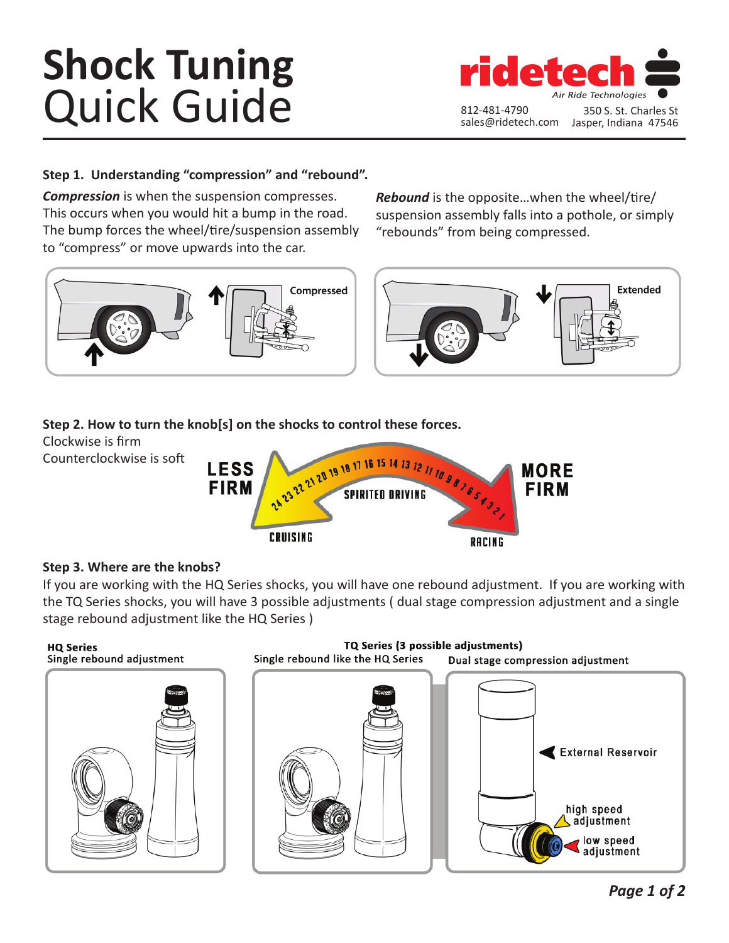# **Shock Tuning**  Quick Guide



## **Step 1. Understanding "compression" and "rebound".**

*Compression* is when the suspension compresses. This occurs when you would hit a bump in the road. The bump forces the wheel/tire/suspension assembly to "compress" or move upwards into the car.



*Rebound* is the opposite…when the wheel/tire/ suspension assembly falls into a pothole, or simply "rebounds" from being compressed.



## **Step 2. How to turn the knob[s] on the shocks to control these forces.**

Clockwise is firm Counterclockwise is soft



## **Step 3. Where are the knobs?**

If you are working with the HQ Series shocks, you will have one rebound adjustment. If you are working with the TQ Series shocks, you will have 3 possible adjustments ( dual stage compression adjustment and a single stage rebound adjustment like the HQ Series )

#### **HQ Series** Single rebound adjustment



TQ Series (3 possible adjustments) Single rebound like the HQ Series Dual stage compression adjustment